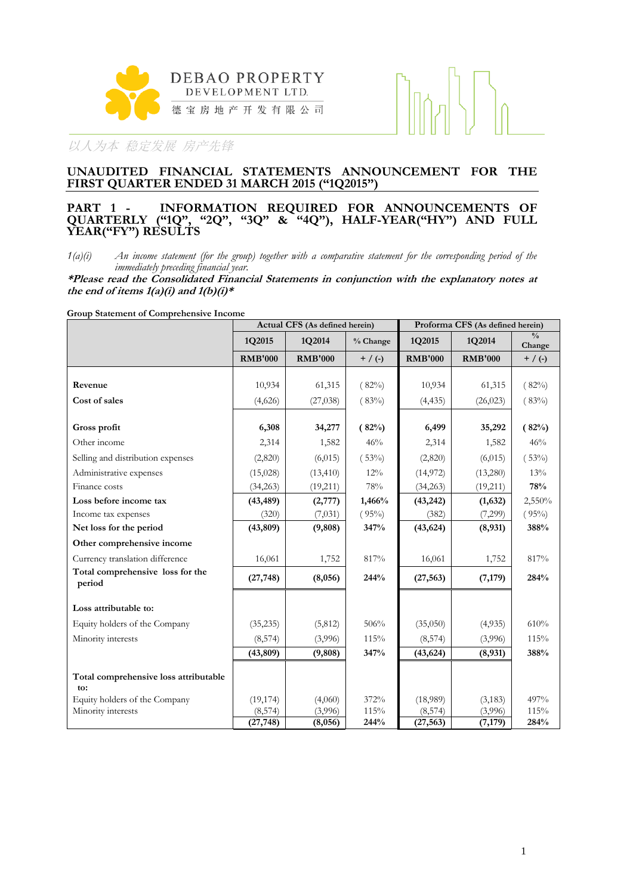



#### **UNAUDITED FINANCIAL STATEMENTS ANNOUNCEMENT FOR THE FIRST QUARTER ENDED 31 MARCH 2015 ("1Q2015")**

#### **PART 1 - INFORMATION REQUIRED FOR ANNOUNCEMENTS OF QUARTERLY ("1Q", "2Q", "3Q" & "4Q"), HALF-YEAR("HY") AND FULL YEAR("FY") RESULTS**

*1(a)(i) An income statement (for the group) together with a comparative statement for the corresponding period of the immediately preceding financial year.*

**\*Please read the Consolidated Financial Statements in conjunction with the explanatory notes at**  the end of items  $1(a)(i)$  and  $1(b)(i)*$ 

**Group Statement of Comprehensive Income**

|                                              | Actual CFS (As defined herein) |                |           | Proforma CFS (As defined herein) |                |                         |  |
|----------------------------------------------|--------------------------------|----------------|-----------|----------------------------------|----------------|-------------------------|--|
|                                              | 1Q2015                         | 1Q2014         | % Change  | 1Q2015                           | 1Q2014         | $\frac{0}{0}$<br>Change |  |
|                                              | <b>RMB'000</b>                 | <b>RMB'000</b> | $+$ / (-) | <b>RMB'000</b>                   | <b>RMB'000</b> | $+$ / (-)               |  |
|                                              |                                |                |           |                                  |                |                         |  |
| Revenue                                      | 10,934                         | 61,315         | (82%)     | 10,934                           | 61,315         | (82%)                   |  |
| Cost of sales                                | (4,626)                        | (27, 038)      | (83%)     | (4, 435)                         | (26, 023)      | (83%)                   |  |
|                                              |                                |                |           |                                  |                |                         |  |
| Gross profit                                 | 6,308                          | 34,277         | (82%)     | 6,499                            | 35,292         | (82%)                   |  |
| Other income                                 | 2,314                          | 1,582          | 46%       | 2,314                            | 1,582          | 46%                     |  |
| Selling and distribution expenses            | (2,820)                        | (6,015)        | (53%)     | (2,820)                          | (6,015)        | (53%)                   |  |
| Administrative expenses                      | (15,028)                       | (13, 410)      | 12%       | (14, 972)                        | (13,280)       | 13%                     |  |
| Finance costs                                | (34,263)                       | (19,211)       | 78%       | (34,263)                         | (19,211)       | 78%                     |  |
| Loss before income tax                       | (43, 489)                      | (2,777)        | 1,466%    | (43,242)                         | (1,632)        | 2,550%                  |  |
| Income tax expenses                          | (320)                          | (7,031)        | (95%)     | (382)                            | (7,299)        | (95%)                   |  |
| Net loss for the period                      | (43, 809)                      | (9,808)        | 347%      | (43, 624)                        | (8,931)        | 388%                    |  |
| Other comprehensive income                   |                                |                |           |                                  |                |                         |  |
| Currency translation difference              | 16,061                         | 1,752          | 817%      | 16,061                           | 1,752          | 817%                    |  |
| Total comprehensive loss for the<br>period   | (27, 748)                      | (8,056)        | 244%      | (27, 563)                        | (7, 179)       | 284%                    |  |
| Loss attributable to:                        |                                |                |           |                                  |                |                         |  |
| Equity holders of the Company                | (35,235)                       | (5,812)        | 506%      | (35,050)                         | (4,935)        | 610%                    |  |
| Minority interests                           | (8,574)                        | (3,996)        | 115%      | (8, 574)                         | (3,996)        | 115%                    |  |
|                                              | (43, 809)                      | (9,808)        | 347%      | (43, 624)                        | (8,931)        | 388%                    |  |
| Total comprehensive loss attributable<br>to: |                                |                |           |                                  |                |                         |  |
| Equity holders of the Company                | (19, 174)                      | (4,060)        | 372%      | (18,989)                         | (3, 183)       | 497%                    |  |
| Minority interests                           | (8, 574)                       | (3,996)        | 115%      | (8, 574)                         | (3,996)        | 115%                    |  |
|                                              | (27, 748)                      | (8,056)        | 244%      | (27, 563)                        | (7, 179)       | 284%                    |  |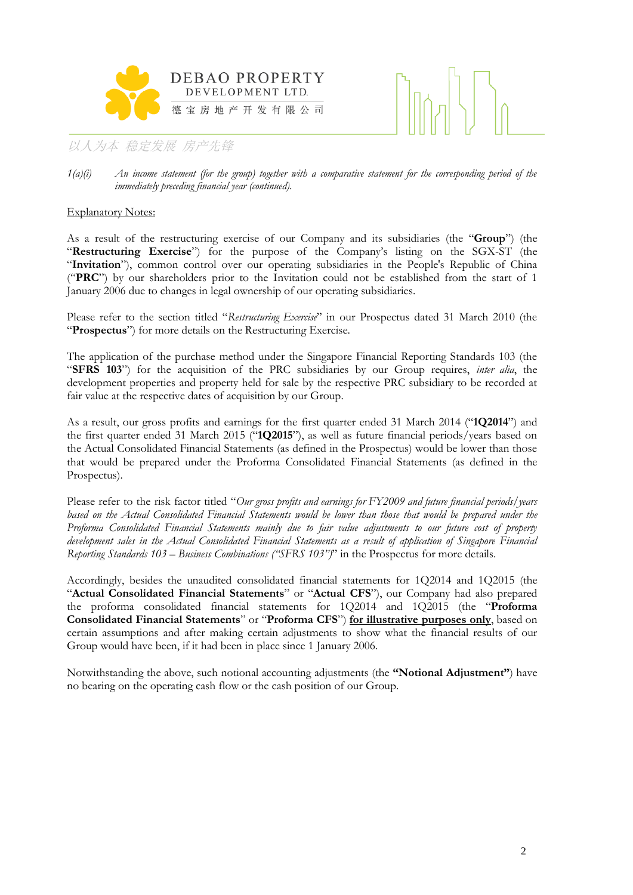



*1(a)(i) An income statement (for the group) together with a comparative statement for the corresponding period of the immediately preceding financial year (continued).*

#### Explanatory Notes:

As a result of the restructuring exercise of our Company and its subsidiaries (the "**Group**") (the "**Restructuring Exercise**") for the purpose of the Company's listing on the SGX-ST (the "**Invitation**"), common control over our operating subsidiaries in the People's Republic of China ("**PRC**") by our shareholders prior to the Invitation could not be established from the start of 1 January 2006 due to changes in legal ownership of our operating subsidiaries.

Please refer to the section titled "*Restructuring Exercise*" in our Prospectus dated 31 March 2010 (the "**Prospectus**") for more details on the Restructuring Exercise.

The application of the purchase method under the Singapore Financial Reporting Standards 103 (the "**SFRS 103**") for the acquisition of the PRC subsidiaries by our Group requires, *inter alia*, the development properties and property held for sale by the respective PRC subsidiary to be recorded at fair value at the respective dates of acquisition by our Group.

As a result, our gross profits and earnings for the first quarter ended 31 March 2014 ("**1Q2014**") and the first quarter ended 31 March 2015 ("**1Q2015**"), as well as future financial periods/years based on the Actual Consolidated Financial Statements (as defined in the Prospectus) would be lower than those that would be prepared under the Proforma Consolidated Financial Statements (as defined in the Prospectus).

Please refer to the risk factor titled "*Our gross profits and earnings for FY2009 and future financial periods/years*  based on the Actual Consolidated Financial Statements would be lower than those that would be prepared under the *Proforma Consolidated Financial Statements mainly due to fair value adjustments to our future cost of property development sales in the Actual Consolidated Financial Statements as a result of application of Singapore Financial Reporting Standards 103 – Business Combinations ("SFRS 103")*" in the Prospectus for more details.

Accordingly, besides the unaudited consolidated financial statements for 1Q2014 and 1Q2015 (the "**Actual Consolidated Financial Statements**" or "**Actual CFS**"), our Company had also prepared the proforma consolidated financial statements for 1Q2014 and 1Q2015 (the "**Proforma Consolidated Financial Statements**" or "**Proforma CFS**") **for illustrative purposes only**, based on certain assumptions and after making certain adjustments to show what the financial results of our Group would have been, if it had been in place since 1 January 2006.

Notwithstanding the above, such notional accounting adjustments (the **"Notional Adjustment"**) have no bearing on the operating cash flow or the cash position of our Group.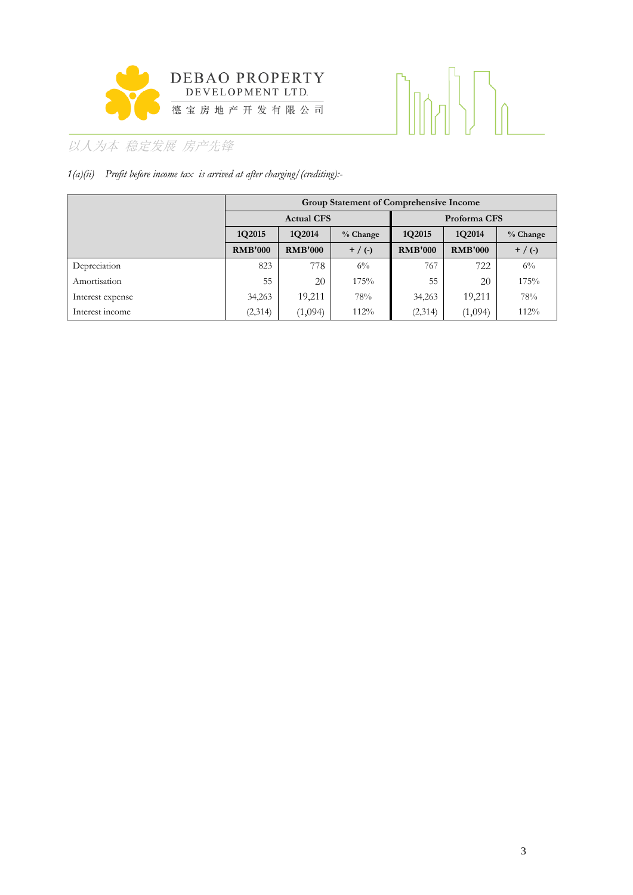

# 

# 以人为本 稳定发展 房产先锋

# *1(a)(ii) Profit before income tax is arrived at after charging/(crediting):-*

|                  |                                               | <b>Group Statement of Comprehensive Income</b> |          |                |                |            |  |  |  |  |
|------------------|-----------------------------------------------|------------------------------------------------|----------|----------------|----------------|------------|--|--|--|--|
|                  |                                               | <b>Actual CFS</b>                              |          | Proforma CFS   |                |            |  |  |  |  |
|                  | 1Q2015                                        | 1Q2014                                         | % Change | 1Q2015         | 1Q2014         | $%$ Change |  |  |  |  |
|                  | <b>RMB'000</b><br><b>RMB'000</b><br>$+$ / (-) |                                                |          | <b>RMB'000</b> | <b>RMB'000</b> | $+$ / (-)  |  |  |  |  |
| Depreciation     | 823                                           | 778                                            | $6\%$    | 767            | 722            | $6\%$      |  |  |  |  |
| Amortisation     | 55                                            | 20                                             | 175%     | 55             | 20             | 175%       |  |  |  |  |
| Interest expense | 34,263                                        | 19,211                                         | 78%      | 34,263         | 19,211         | 78%        |  |  |  |  |
| Interest income  | (2,314)                                       | (1,094)                                        | $112\%$  | (2,314)        | (1,094)        | 112%       |  |  |  |  |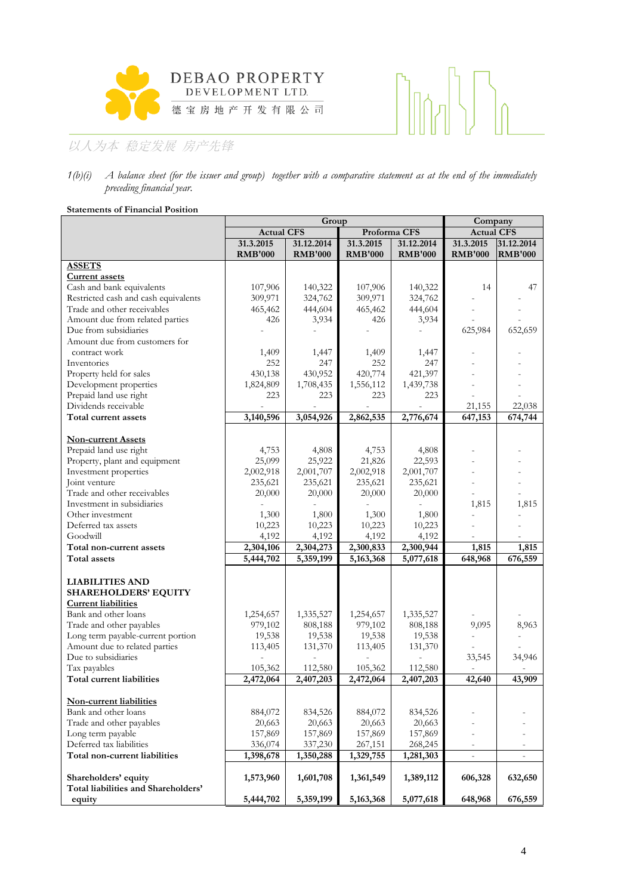

# $\left[\begin{matrix} 1 \\ 0 \end{matrix}\right]$  $\begin{bmatrix} 1 & 1 \\ 1 & 1 \end{bmatrix}$

# 以人为本 稳定发展 房产先锋

#### *1(b)(i) A balance sheet (for the issuer and group) together with a comparative statement as at the end of the immediately preceding financial year.*

#### **Statements of Financial Position**

|                                                    |                   | Company        |                |                |                          |                          |
|----------------------------------------------------|-------------------|----------------|----------------|----------------|--------------------------|--------------------------|
|                                                    | <b>Actual CFS</b> |                | Proforma CFS   |                | <b>Actual CFS</b>        |                          |
|                                                    | 31.3.2015         | 31.12.2014     | 31.3.2015      | 31.12.2014     | 31.3.2015                | 31.12.2014               |
|                                                    | <b>RMB'000</b>    | <b>RMB'000</b> | <b>RMB'000</b> | <b>RMB'000</b> | <b>RMB'000</b>           | <b>RMB'000</b>           |
| <b>ASSETS</b>                                      |                   |                |                |                |                          |                          |
| <b>Current assets</b>                              |                   |                |                |                |                          |                          |
| Cash and bank equivalents                          | 107,906           | 140,322        | 107,906        | 140,322        | 14                       | 47                       |
| Restricted cash and cash equivalents               | 309,971           | 324,762        | 309,971        | 324,762        |                          |                          |
| Trade and other receivables                        | 465,462           | 444,604        | 465,462        | 444,604        |                          |                          |
| Amount due from related parties                    | 426               | 3,934          | 426            | 3,934          |                          |                          |
| Due from subsidiaries                              |                   |                |                |                | 625,984                  | 652,659                  |
| Amount due from customers for                      |                   |                |                |                |                          |                          |
| contract work                                      | 1,409             | 1,447          | 1,409          | 1,447          |                          |                          |
| Inventories                                        | 252               | 247            | 252            | 247            |                          |                          |
| Property held for sales                            | 430,138           | 430,952        | 420,774        | 421,397        |                          |                          |
| Development properties                             | 1,824,809         | 1,708,435      | 1,556,112      | 1,439,738      |                          |                          |
| Prepaid land use right                             | 223               | 223            | 223            | 223            |                          |                          |
| Dividends receivable                               |                   |                |                |                | 21,155                   | 22,038                   |
| Total current assets                               | 3,140,596         | 3,054,926      | 2,862,535      | 2,776,674      | 647,153                  | 674,744                  |
|                                                    |                   |                |                |                |                          |                          |
| <b>Non-current Assets</b>                          |                   |                |                |                |                          |                          |
| Prepaid land use right                             | 4,753             | 4,808          | 4,753          | 4,808          |                          |                          |
| Property, plant and equipment                      | 25,099            | 25,922         | 21,826         | 22,593         |                          |                          |
| Investment properties                              | 2,002,918         | 2,001,707      | 2,002,918      | 2,001,707      |                          |                          |
| Joint venture                                      | 235,621           | 235,621        | 235,621        | 235,621        |                          |                          |
| Trade and other receivables                        | 20,000            | 20,000         | 20,000         | 20,000         |                          |                          |
| Investment in subsidiaries                         |                   |                |                |                | 1,815                    | 1,815                    |
| Other investment                                   | 1,300             | 1,800          | 1,300          | 1,800          |                          |                          |
| Deferred tax assets                                | 10,223            | 10,223         | 10,223         | 10,223         |                          |                          |
| Goodwill                                           | 4,192             | 4,192          | 4,192          | 4,192          |                          |                          |
| Total non-current assets                           | 2,304,106         | 2,304,273      | 2,300,833      | 2,300,944      | 1,815                    | 1,815                    |
| Total assets                                       |                   | 5,359,199      | 5,163,368      | 5,077,618      | 648,968                  | 676,559                  |
|                                                    | 5,444,702         |                |                |                |                          |                          |
|                                                    |                   |                |                |                |                          |                          |
| <b>LIABILITIES AND</b>                             |                   |                |                |                |                          |                          |
| <b>SHAREHOLDERS' EQUITY</b>                        |                   |                |                |                |                          |                          |
| <b>Current liabilities</b><br>Bank and other loans |                   |                |                |                |                          |                          |
|                                                    | 1,254,657         | 1,335,527      | 1,254,657      | 1,335,527      |                          |                          |
| Trade and other payables                           | 979,102           | 808,188        | 979,102        | 808,188        | 9,095                    | 8,963                    |
| Long term payable-current portion                  | 19,538            | 19,538         | 19,538         | 19,538         |                          |                          |
| Amount due to related parties                      | 113,405           | 131,370        | 113,405        | 131,370        |                          |                          |
| Due to subsidiaries                                |                   |                |                |                | 33,545                   | 34,946                   |
| Tax payables                                       | 105,362           | 112,580        | 105,362        | 112,580        |                          |                          |
| <b>Total current liabilities</b>                   | 2,472,064         | 2,407,203      | 2,472,064      | 2,407,203      | 42,640                   | 43,909                   |
|                                                    |                   |                |                |                |                          |                          |
| Non-current liabilities                            |                   |                |                |                |                          |                          |
| Bank and other loans                               | 884,072           | 834,526        | 884,072        | 834,526        |                          |                          |
| Trade and other payables                           | 20,663            | 20,663         | 20,663         | 20,663         |                          |                          |
| Long term payable                                  | 157,869           | 157,869        | 157,869        | 157,869        |                          |                          |
| Deferred tax liabilities                           | 336,074           | 337,230        | 267,151        | 268,245        |                          |                          |
| Total non-current liabilities                      | 1,398,678         | 1,350,288      | 1,329,755      | 1,281,303      | $\overline{\phantom{0}}$ | $\overline{\phantom{a}}$ |
|                                                    |                   |                |                |                |                          |                          |
| Shareholders' equity                               | 1,573,960         | 1,601,708      | 1,361,549      | 1,389,112      | 606,328                  | 632,650                  |
| Total liabilities and Shareholders'                |                   |                |                |                |                          |                          |
| equity                                             | 5,444,702         | 5,359,199      | 5,163,368      | 5,077,618      | 648,968                  | 676,559                  |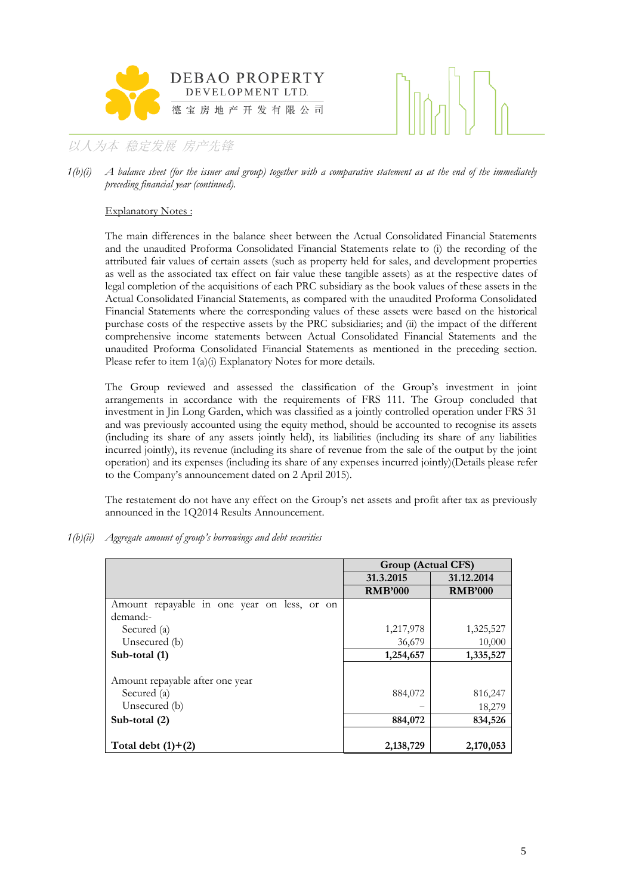



*1(b)(i) A balance sheet (for the issuer and group) together with a comparative statement as at the end of the immediately preceding financial year (continued).*

#### Explanatory Notes :

The main differences in the balance sheet between the Actual Consolidated Financial Statements and the unaudited Proforma Consolidated Financial Statements relate to (i) the recording of the attributed fair values of certain assets (such as property held for sales, and development properties as well as the associated tax effect on fair value these tangible assets) as at the respective dates of legal completion of the acquisitions of each PRC subsidiary as the book values of these assets in the Actual Consolidated Financial Statements, as compared with the unaudited Proforma Consolidated Financial Statements where the corresponding values of these assets were based on the historical purchase costs of the respective assets by the PRC subsidiaries; and (ii) the impact of the different comprehensive income statements between Actual Consolidated Financial Statements and the unaudited Proforma Consolidated Financial Statements as mentioned in the preceding section. Please refer to item 1(a)(i) Explanatory Notes for more details.

The Group reviewed and assessed the classification of the Group's investment in joint arrangements in accordance with the requirements of FRS 111. The Group concluded that investment in Jin Long Garden, which was classified as a jointly controlled operation under FRS 31 and was previously accounted using the equity method, should be accounted to recognise its assets (including its share of any assets jointly held), its liabilities (including its share of any liabilities incurred jointly), its revenue (including its share of revenue from the sale of the output by the joint operation) and its expenses (including its share of any expenses incurred jointly)(Details please refer to the Company's announcement dated on 2 April 2015).

The restatement do not have any effect on the Group's net assets and profit after tax as previously announced in the 1Q2014 Results Announcement.

*1(b)(ii) Aggregate amount of group's borrowings and debt securities* 

|                                             | Group (Actual CFS) |                |
|---------------------------------------------|--------------------|----------------|
|                                             | 31.3.2015          | 31.12.2014     |
|                                             | <b>RMB'000</b>     | <b>RMB'000</b> |
| Amount repayable in one year on less, or on |                    |                |
| demand:-                                    |                    |                |
| Secured (a)                                 | 1,217,978          | 1,325,527      |
| Unsecured (b)                               | 36,679             | 10,000         |
| Sub-total (1)                               | 1,254,657          | 1,335,527      |
|                                             |                    |                |
| Amount repayable after one year             |                    |                |
| Secured (a)                                 | 884,072            | 816,247        |
| Unsecured (b)                               |                    | 18,279         |
| Sub-total (2)                               | 884,072            | 834,526        |
|                                             |                    |                |
| Total debt $(1)+(2)$                        | 2,138,729          | 2,170,053      |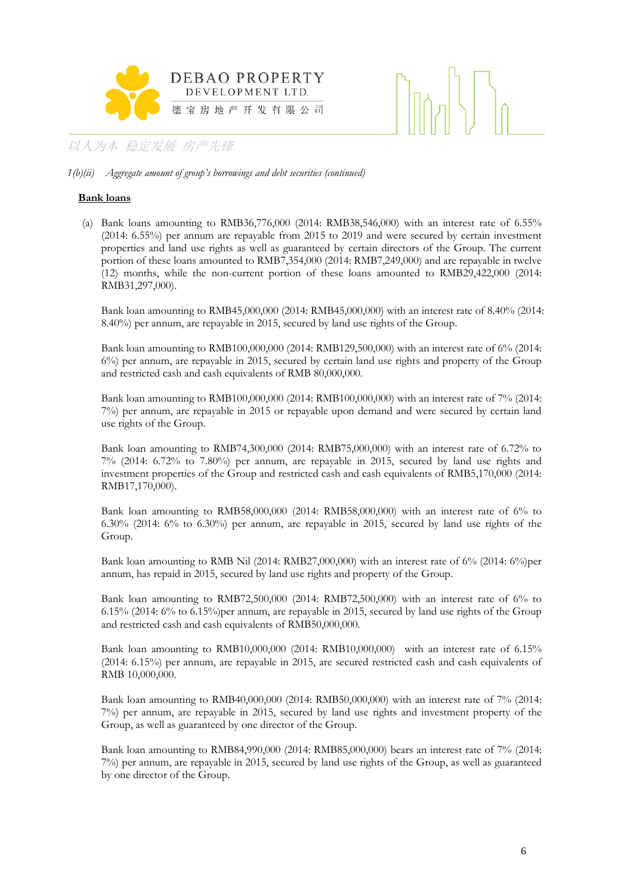

#### *1(b)(ii) Aggregate amount of group's borrowings and debt securities (continued)*

#### **Bank loans**

(a) Bank loans amounting to RMB36,776,000 (2014: RMB38,546,000) with an interest rate of 6.55% (2014: 6.55%) per annum are repayable from 2015 to 2019 and were secured by certain investment properties and land use rights as well as guaranteed by certain directors of the Group. The current portion of these loans amounted to RMB7,354,000 (2014: RMB7,249,000) and are repayable in twelve (12) months, while the non-current portion of these loans amounted to RMB29,422,000 (2014: RMB31,297,000).

Bank loan amounting to RMB45,000,000 (2014: RMB45,000,000) with an interest rate of 8.40% (2014: 8.40%) per annum, are repayable in 2015, secured by land use rights of the Group.

Bank loan amounting to RMB100,000,000 (2014: RMB129,500,000) with an interest rate of 6% (2014: 6%) per annum, are repayable in 2015, secured by certain land use rights and property of the Group and restricted cash and cash equivalents of RMB 80,000,000.

Bank loan amounting to RMB100,000,000 (2014: RMB100,000,000) with an interest rate of 7% (2014: 7%) per annum, are repayable in 2015 or repayable upon demand and were secured by certain land use rights of the Group.

Bank loan amounting to RMB74,300,000 (2014: RMB75,000,000) with an interest rate of 6.72% to 7% (2014: 6.72% to 7.80%) per annum, are repayable in 2015, secured by land use rights and investment properties of the Group and restricted cash and cash equivalents of RMB5,170,000 (2014: RMB17,170,000).

Bank loan amounting to RMB58,000,000 (2014: RMB58,000,000) with an interest rate of 6% to 6.30% (2014: 6% to 6.30%) per annum, are repayable in 2015, secured by land use rights of the Group.

Bank loan amounting to RMB Nil (2014: RMB27,000,000) with an interest rate of 6% (2014: 6%)per annum, has repaid in 2015, secured by land use rights and property of the Group.

Bank loan amounting to RMB72,500,000 (2014: RMB72,500,000) with an interest rate of 6% to 6.15% (2014: 6% to 6.15%)per annum, are repayable in 2015, secured by land use rights of the Group and restricted cash and cash equivalents of RMB50,000,000.

Bank loan amounting to RMB10,000,000 (2014: RMB10,000,000) with an interest rate of 6.15% (2014: 6.15%) per annum, are repayable in 2015, are secured restricted cash and cash equivalents of RMB 10,000,000.

Bank loan amounting to RMB40,000,000 (2014: RMB50,000,000) with an interest rate of 7% (2014: 7%) per annum, are repayable in 2015, secured by land use rights and investment property of the Group, as well as guaranteed by one director of the Group.

Bank loan amounting to RMB84,990,000 (2014: RMB85,000,000) bears an interest rate of 7% (2014: 7%) per annum, are repayable in 2015, secured by land use rights of the Group, as well as guaranteed by one director of the Group.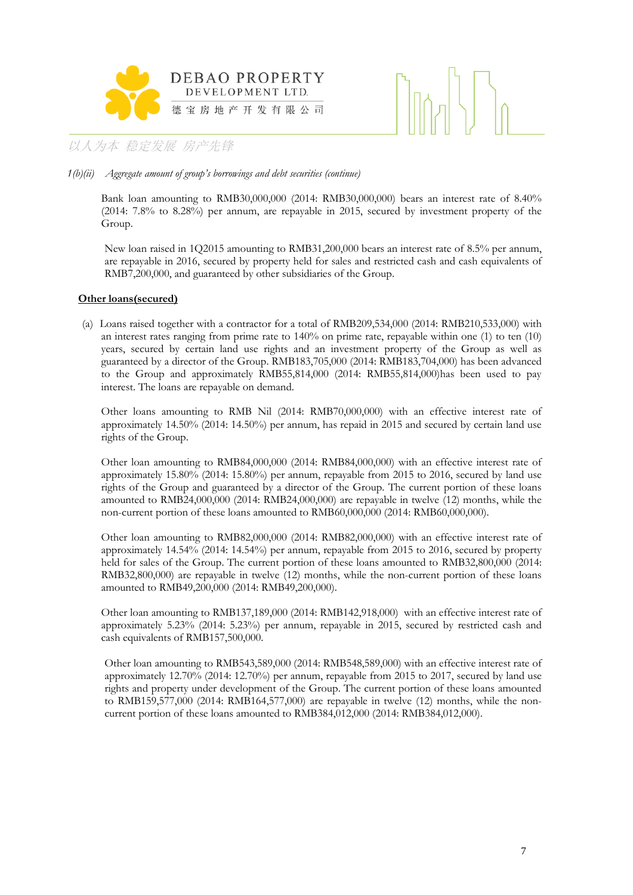



*1(b)(ii) Aggregate amount of group's borrowings and debt securities (continue)*

Bank loan amounting to RMB30,000,000 (2014: RMB30,000,000) bears an interest rate of 8.40% (2014: 7.8% to 8.28%) per annum, are repayable in 2015, secured by investment property of the Group.

New loan raised in 1Q2015 amounting to RMB31,200,000 bears an interest rate of 8.5% per annum, are repayable in 2016, secured by property held for sales and restricted cash and cash equivalents of RMB7,200,000, and guaranteed by other subsidiaries of the Group.

#### **Other loans(secured)**

(a) Loans raised together with a contractor for a total of RMB209,534,000 (2014: RMB210,533,000) with an interest rates ranging from prime rate to 140% on prime rate, repayable within one (1) to ten (10) years, secured by certain land use rights and an investment property of the Group as well as guaranteed by a director of the Group. RMB183,705,000 (2014: RMB183,704,000) has been advanced to the Group and approximately RMB55,814,000 (2014: RMB55,814,000)has been used to pay interest. The loans are repayable on demand.

Other loans amounting to RMB Nil (2014: RMB70,000,000) with an effective interest rate of approximately 14.50% (2014: 14.50%) per annum, has repaid in 2015 and secured by certain land use rights of the Group.

Other loan amounting to RMB84,000,000 (2014: RMB84,000,000) with an effective interest rate of approximately 15.80% (2014: 15.80%) per annum, repayable from 2015 to 2016, secured by land use rights of the Group and guaranteed by a director of the Group. The current portion of these loans amounted to RMB24,000,000 (2014: RMB24,000,000) are repayable in twelve (12) months, while the non-current portion of these loans amounted to RMB60,000,000 (2014: RMB60,000,000).

Other loan amounting to RMB82,000,000 (2014: RMB82,000,000) with an effective interest rate of approximately 14.54% (2014: 14.54%) per annum, repayable from 2015 to 2016, secured by property held for sales of the Group. The current portion of these loans amounted to RMB32,800,000 (2014: RMB32,800,000) are repayable in twelve (12) months, while the non-current portion of these loans amounted to RMB49,200,000 (2014: RMB49,200,000).

Other loan amounting to RMB137,189,000 (2014: RMB142,918,000) with an effective interest rate of approximately 5.23% (2014: 5.23%) per annum, repayable in 2015, secured by restricted cash and cash equivalents of RMB157,500,000.

Other loan amounting to RMB543,589,000 (2014: RMB548,589,000) with an effective interest rate of approximately 12.70% (2014: 12.70%) per annum, repayable from 2015 to 2017, secured by land use rights and property under development of the Group. The current portion of these loans amounted to RMB159,577,000 (2014: RMB164,577,000) are repayable in twelve (12) months, while the noncurrent portion of these loans amounted to RMB384,012,000 (2014: RMB384,012,000).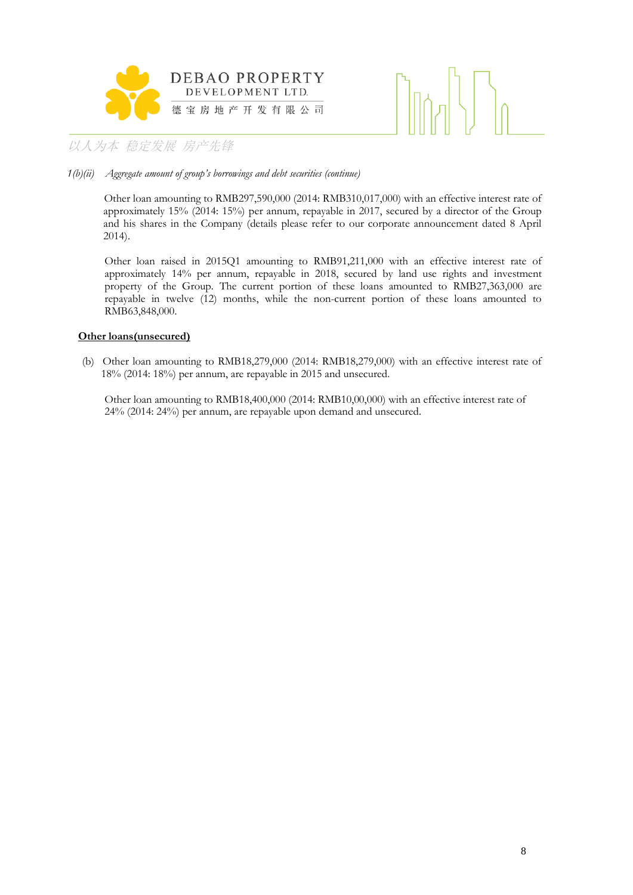



#### *1(b)(ii) Aggregate amount of group's borrowings and debt securities (continue)*

Other loan amounting to RMB297,590,000 (2014: RMB310,017,000) with an effective interest rate of approximately 15% (2014: 15%) per annum, repayable in 2017, secured by a director of the Group and his shares in the Company (details please refer to our corporate announcement dated 8 April 2014).

Other loan raised in 2015Q1 amounting to RMB91,211,000 with an effective interest rate of approximately 14% per annum, repayable in 2018, secured by land use rights and investment property of the Group. The current portion of these loans amounted to RMB27,363,000 are repayable in twelve (12) months, while the non-current portion of these loans amounted to RMB63,848,000.

#### **Other loans(unsecured)**

(b) Other loan amounting to RMB18,279,000 (2014: RMB18,279,000) with an effective interest rate of 18% (2014: 18%) per annum, are repayable in 2015 and unsecured.

Other loan amounting to RMB18,400,000 (2014: RMB10,00,000) with an effective interest rate of 24% (2014: 24%) per annum, are repayable upon demand and unsecured.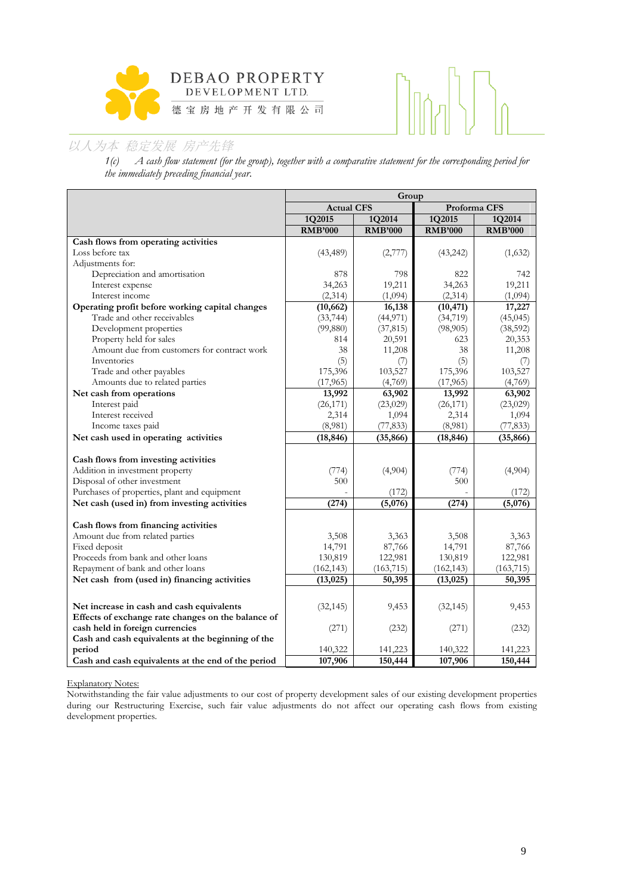

*1(c) A cash flow statement (for the group), together with a comparative statement for the corresponding period for the immediately preceding financial year.*

|                                                             | Group             |                |                |                |  |
|-------------------------------------------------------------|-------------------|----------------|----------------|----------------|--|
|                                                             | <b>Actual CFS</b> |                |                | Proforma CFS   |  |
|                                                             | 1Q2015            | 1Q2014         | 1Q2015         | 1Q2014         |  |
|                                                             | <b>RMB'000</b>    | <b>RMB'000</b> | <b>RMB'000</b> | <b>RMB'000</b> |  |
| Cash flows from operating activities                        |                   |                |                |                |  |
| Loss before tax                                             | (43, 489)         | (2,777)        | (43,242)       | (1,632)        |  |
| Adjustments for:                                            |                   |                |                |                |  |
| Depreciation and amortisation                               | 878               | 798            | 822            | 742            |  |
| Interest expense                                            | 34,263            | 19,211         | 34,263         | 19,211         |  |
| Interest income                                             | (2,314)           | (1,094)        | (2,314)        | (1,094)        |  |
| Operating profit before working capital changes             | (10, 662)         | 16,138         | (10, 471)      | 17,227         |  |
| Trade and other receivables                                 | (33, 744)         | (44, 971)      | (34, 719)      | (45, 045)      |  |
| Development properties                                      | (99, 880)         | (37, 815)      | (98,905)       | (38, 592)      |  |
| Property held for sales                                     | 814               | 20,591         | 623            | 20,353         |  |
| Amount due from customers for contract work                 | 38                | 11,208         | 38             | 11,208         |  |
| Inventories                                                 | (5)               | (7)            | (5)            | (7)            |  |
| Trade and other payables                                    | 175,396           | 103,527        | 175,396        | 103,527        |  |
| Amounts due to related parties                              | (17, 965)         | (4,769)        | (17, 965)      | (4,769)        |  |
| Net cash from operations                                    | 13,992            | 63,902         | 13,992         | 63,902         |  |
| Interest paid                                               | (26, 171)         | (23,029)       | (26, 171)      | (23,029)       |  |
| Interest received                                           | 2,314             | 1,094          | 2,314          | 1,094          |  |
| Income taxes paid                                           | (8,981)           | (77, 833)      | (8,981)        | (77, 833)      |  |
| Net cash used in operating activities                       | (18, 846)         | (35, 866)      | (18, 846)      | (35, 866)      |  |
|                                                             |                   |                |                |                |  |
| Cash flows from investing activities                        |                   |                |                |                |  |
| Addition in investment property                             | (774)             | (4,904)        | (774)          | (4,904)        |  |
| Disposal of other investment                                | 500               |                | 500            |                |  |
| Purchases of properties, plant and equipment                |                   | (172)          |                | (172)          |  |
| Net cash (used in) from investing activities                | (274)             | (5,076)        | (274)          | (5,076)        |  |
| Cash flows from financing activities                        |                   |                |                |                |  |
| Amount due from related parties                             | 3,508             | 3,363          | 3,508          | 3,363          |  |
| Fixed deposit                                               | 14,791            | 87,766         | 14,791         | 87,766         |  |
| Proceeds from bank and other loans                          | 130,819           | 122,981        | 130,819        | 122,981        |  |
| Repayment of bank and other loans                           | (162, 143)        | (163, 715)     | (162, 143)     | (163, 715)     |  |
| Net cash from (used in) financing activities                | (13, 025)         | 50,395         | (13, 025)      | 50,395         |  |
|                                                             |                   |                |                |                |  |
|                                                             |                   |                |                |                |  |
| Net increase in cash and cash equivalents                   | (32, 145)         | 9,453          | (32, 145)      | 9,453          |  |
| Effects of exchange rate changes on the balance of          |                   |                |                |                |  |
| cash held in foreign currencies                             | (271)             | (232)          | (271)          | (232)          |  |
| Cash and cash equivalents at the beginning of the<br>period | 140,322           | 141,223        | 140,322        |                |  |
|                                                             |                   |                | 107,906        | 141,223        |  |
| Cash and cash equivalents at the end of the period          | 107,906           | 150,444        |                | 150,444        |  |

Explanatory Notes:

Notwithstanding the fair value adjustments to our cost of property development sales of our existing development properties during our Restructuring Exercise, such fair value adjustments do not affect our operating cash flows from existing development properties.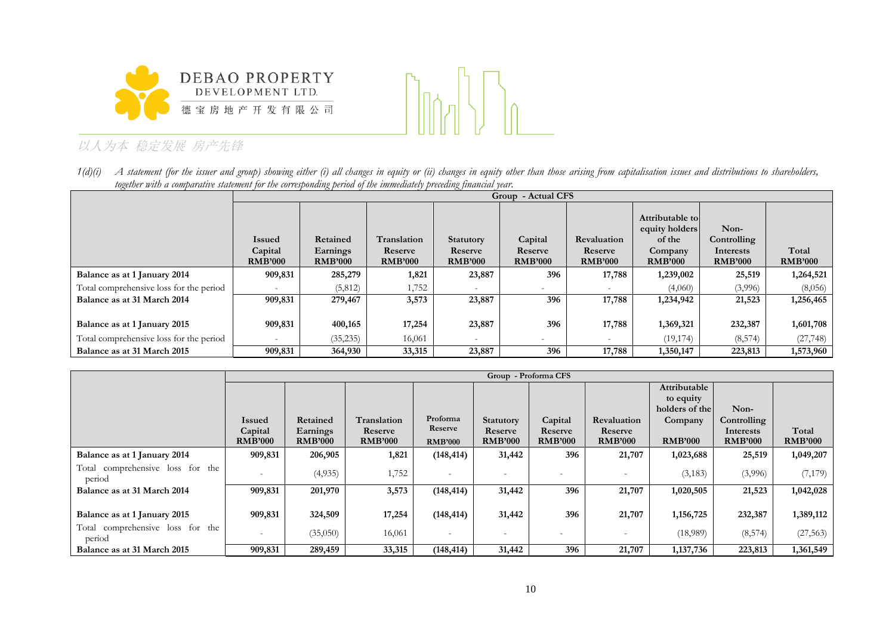



1(d)(i) A statement (for the issuer and group) showing either (i) all changes in equity or (ii) changes in equity other than those arising from capitalisation issues and distributions to shareholders, *together with a comparative statement for the corresponding period of the immediately preceding financial year.*

|                                         |                                            | Group - Actual CFS                     |                                          |                                               |                                      |                                                 |                                                                          |                                                    |                         |  |
|-----------------------------------------|--------------------------------------------|----------------------------------------|------------------------------------------|-----------------------------------------------|--------------------------------------|-------------------------------------------------|--------------------------------------------------------------------------|----------------------------------------------------|-------------------------|--|
|                                         | <b>Issued</b><br>Capital<br><b>RMB'000</b> | Retained<br>Earnings<br><b>RMB'000</b> | Translation<br>Reserve<br><b>RMB'000</b> | <b>Statutory</b><br>Reserve<br><b>RMB'000</b> | Capital<br>Reserve<br><b>RMB'000</b> | <b>Revaluation</b><br>Reserve<br><b>RMB'000</b> | Attributable to<br>equity holders<br>of the<br>Company<br><b>RMB'000</b> | Non-<br>Controlling<br>Interests<br><b>RMB'000</b> | Total<br><b>RMB'000</b> |  |
| Balance as at 1 January 2014            | 909,831                                    | 285,279                                | 1,821                                    | 23,887                                        | 396                                  | 17,788                                          | 1,239,002                                                                | 25,519                                             | 1,264,521               |  |
| Total comprehensive loss for the period |                                            | (5,812)                                | ,752                                     |                                               | $\overline{\phantom{a}}$             |                                                 | (4,060)                                                                  | (3,996)                                            | (8,056)                 |  |
| Balance as at 31 March 2014             | 909,831                                    | 279,467                                | 3,573                                    | 23,887                                        | 396                                  | 17,788                                          | 1,234,942                                                                | 21,523                                             | 1,256,465               |  |
| Balance as at 1 January 2015            | 909,831                                    | 400,165                                | 17,254                                   | 23,887                                        | 396                                  | 17,788                                          | 1,369,321                                                                | 232,387                                            | 1,601,708               |  |
| Total comprehensive loss for the period |                                            | (35, 235)                              | 16,061                                   |                                               | $\overline{\phantom{0}}$             |                                                 | (19, 174)                                                                | (8,574)                                            | (27, 748)               |  |
| Balance as at 31 March 2015             | 909,831                                    | 364,930                                | 33,315                                   | 23,887                                        | 396                                  | 17,788                                          | 1,350,147                                                                | 223,813                                            | 1,573,960               |  |

|                                               |                           | Group - Proforma CFS       |                           |                           |                           |                           |                           |                |                             |                         |
|-----------------------------------------------|---------------------------|----------------------------|---------------------------|---------------------------|---------------------------|---------------------------|---------------------------|----------------|-----------------------------|-------------------------|
|                                               |                           |                            |                           |                           |                           |                           |                           | Attributable   |                             |                         |
|                                               |                           |                            |                           |                           |                           |                           |                           | to equity      |                             |                         |
|                                               |                           |                            |                           |                           |                           |                           |                           | holders of the | Non-                        |                         |
|                                               | <b>Issued</b>             | Retained                   | <b>Translation</b>        | Proforma                  | <b>Statutory</b>          | Capital                   | Revaluation               | Company        | Controlling                 |                         |
|                                               | Capital<br><b>RMB'000</b> | Earnings<br><b>RMB'000</b> | Reserve<br><b>RMB'000</b> | Reserve<br><b>RMB'000</b> | Reserve<br><b>RMB'000</b> | Reserve<br><b>RMB'000</b> | Reserve<br><b>RMB'000</b> | <b>RMB'000</b> | Interests<br><b>RMB'000</b> | Total<br><b>RMB'000</b> |
| Balance as at 1 January 2014                  | 909,831                   | 206,905                    | 1,821                     | (148, 414)                | 31,442                    | 396                       | 21,707                    | 1,023,688      | 25,519                      | 1,049,207               |
| comprehensive loss for the<br>Total<br>period |                           | (4,935)                    | 1,752                     | $\overline{\phantom{0}}$  | $\overline{\phantom{0}}$  | $\overline{\phantom{0}}$  | $\overline{\phantom{a}}$  | (3,183)        | (3,996)                     | (7,179)                 |
| Balance as at 31 March 2014                   | 909,831                   | 201,970                    | 3,573                     | (148, 414)                | 31,442                    | 396                       | 21,707                    | 1,020,505      | 21,523                      | 1,042,028               |
|                                               |                           |                            |                           |                           |                           |                           |                           |                |                             |                         |
| Balance as at 1 January 2015                  | 909,831                   | 324,509                    | 17,254                    | (148, 414)                | 31,442                    | 396                       | 21,707                    | 1,156,725      | 232,387                     | 1,389,112               |
| comprehensive loss for the<br>Total<br>period |                           | (35,050)                   | 16,061                    | -                         | $\overline{\phantom{0}}$  | $\overline{\phantom{a}}$  | $\overline{\phantom{a}}$  | (18,989)       | (8, 574)                    | (27, 563)               |
| Balance as at 31 March 2015                   | 909,831                   | 289,459                    | 33,315                    | (148, 414)                | 31,442                    | 396                       | 21,707                    | 1, 137, 736    | 223,813                     | 1,361,549               |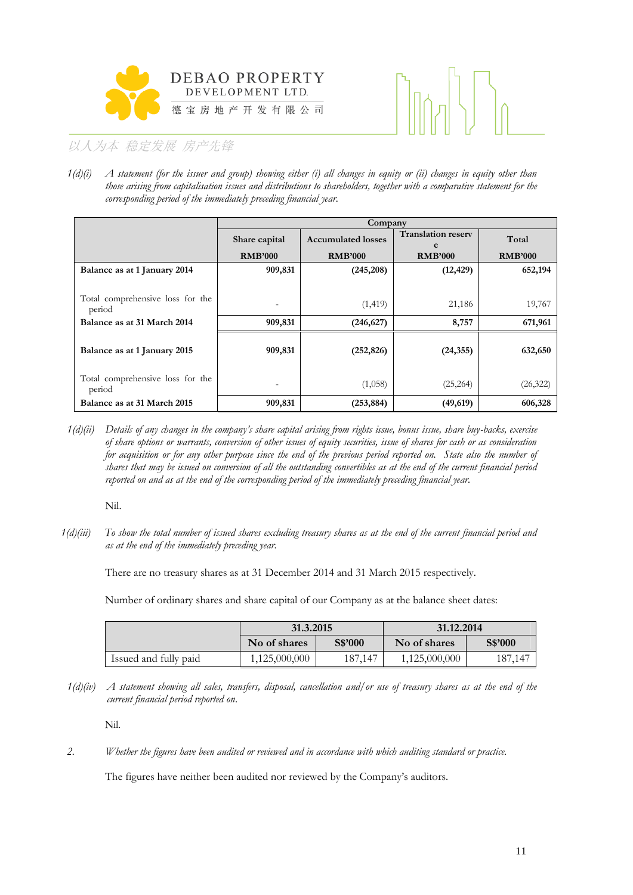



*1(d)(i) A statement (for the issuer and group) showing either (i) all changes in equity or (ii) changes in equity other than those arising from capitalisation issues and distributions to shareholders, together with a comparative statement for the corresponding period of the immediately preceding financial year.*

|                                            | Company        |                           |                                |                |  |  |  |  |
|--------------------------------------------|----------------|---------------------------|--------------------------------|----------------|--|--|--|--|
|                                            | Share capital  | <b>Accumulated losses</b> | <b>Translation reserv</b><br>e | Total          |  |  |  |  |
|                                            | <b>RMB'000</b> | <b>RMB'000</b>            | <b>RMB'000</b>                 | <b>RMB'000</b> |  |  |  |  |
| Balance as at 1 January 2014               | 909,831        | (245, 208)                | (12, 429)                      | 652,194        |  |  |  |  |
| Total comprehensive loss for the<br>period |                | (1, 419)                  | 21,186                         | 19,767         |  |  |  |  |
| Balance as at 31 March 2014                | 909,831        | (246, 627)                | 8,757                          | 671,961        |  |  |  |  |
| Balance as at 1 January 2015               | 909,831        | (252, 826)                | (24, 355)                      | 632,650        |  |  |  |  |
| Total comprehensive loss for the<br>period |                | (1,058)                   | (25,264)                       | (26, 322)      |  |  |  |  |
| Balance as at 31 March 2015                | 909,831        | (253, 884)                | (49, 619)                      | 606,328        |  |  |  |  |

*1(d)(ii) Details of any changes in the company's share capital arising from rights issue, bonus issue, share buy-backs, exercise of share options or warrants, conversion of other issues of equity securities, issue of shares for cash or as consideration*  for acquisition or for any other purpose since the end of the previous period reported on. State also the number of *shares that may be issued on conversion of all the outstanding convertibles as at the end of the current financial period reported on and as at the end of the corresponding period of the immediately preceding financial year.*

Nil.

*1(d)(iii) To show the total number of issued shares excluding treasury shares as at the end of the current financial period and as at the end of the immediately preceding year.*

There are no treasury shares as at 31 December 2014 and 31 March 2015 respectively.

Number of ordinary shares and share capital of our Company as at the balance sheet dates:

|                       | 31.3.2015               |         | 31.12.2014    |         |  |  |
|-----------------------|-------------------------|---------|---------------|---------|--|--|
|                       | S\$'000<br>No of shares |         | No of shares  | S\$'000 |  |  |
| Issued and fully paid | 1,125,000,000           | 187.147 | 1,125,000,000 | 187,147 |  |  |

*1(d)(iv) A statement showing all sales, transfers, disposal, cancellation and/or use of treasury shares as at the end of the current financial period reported on*.

Nil.

*2. Whether the figures have been audited or reviewed and in accordance with which auditing standard or practice.*

The figures have neither been audited nor reviewed by the Company's auditors.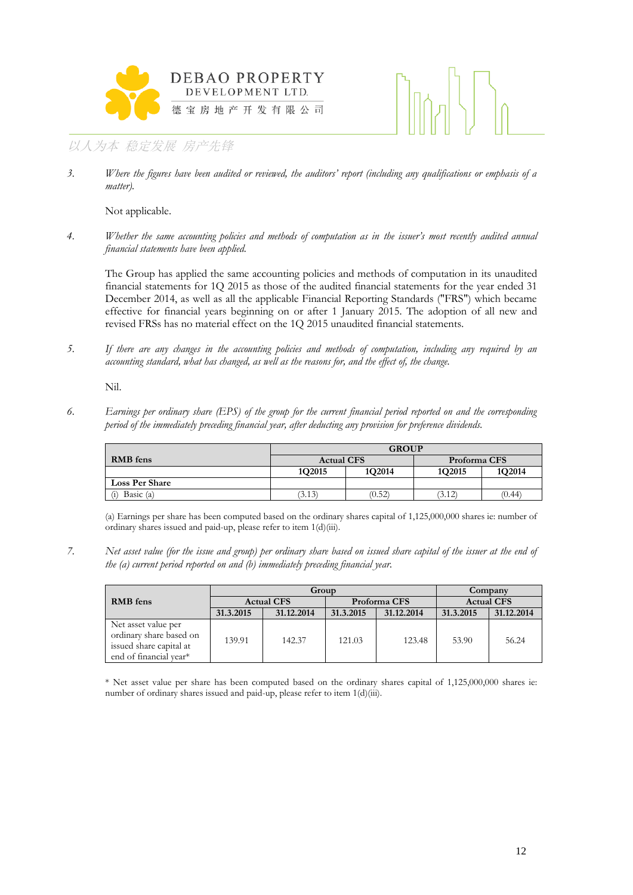



*3. Where the figures have been audited or reviewed, the auditors' report (including any qualifications or emphasis of a matter).*

Not applicable.

*4. Whether the same accounting policies and methods of computation as in the issuer's most recently audited annual financial statements have been applied.*

The Group has applied the same accounting policies and methods of computation in its unaudited financial statements for 1Q 2015 as those of the audited financial statements for the year ended 31 December 2014, as well as all the applicable Financial Reporting Standards ("FRS") which became effective for financial years beginning on or after 1 January 2015. The adoption of all new and revised FRSs has no material effect on the 1Q 2015 unaudited financial statements.

*5. If there are any changes in the accounting policies and methods of computation, including any required by an accounting standard, what has changed, as well as the reasons for, and the effect of, the change.*

Nil.

*6. Earnings per ordinary share (EPS) of the group for the current financial period reported on and the corresponding period of the immediately preceding financial year, after deducting any provision for preference dividends.*

|                       | <b>GROUP</b>      |        |                  |        |  |  |  |
|-----------------------|-------------------|--------|------------------|--------|--|--|--|
| <b>RMB</b> fens       | <b>Actual CFS</b> |        | Proforma CFS     |        |  |  |  |
|                       | 1Q2015            | 1Q2014 | 1Q2015           | 1Q2014 |  |  |  |
| <b>Loss Per Share</b> |                   |        |                  |        |  |  |  |
| Basic (a)<br>(i)      | (3.13)            | (0.52) | (0.44)<br>(3.12) |        |  |  |  |

(a) Earnings per share has been computed based on the ordinary shares capital of 1,125,000,000 shares ie: number of ordinary shares issued and paid-up, please refer to item 1(d)(iii).

*7. Net asset value (for the issue and group) per ordinary share based on issued share capital of the issuer at the end of the (a) current period reported on and (b) immediately preceding financial year.*

|                                                                                                     |                   | Group      | Company                 |              |                   |            |
|-----------------------------------------------------------------------------------------------------|-------------------|------------|-------------------------|--------------|-------------------|------------|
| <b>RMB</b> fens                                                                                     | <b>Actual CFS</b> |            |                         | Proforma CFS | <b>Actual CFS</b> |            |
|                                                                                                     | 31.3.2015         | 31.12.2014 | 31.12.2014<br>31.3.2015 |              | 31.3.2015         | 31.12.2014 |
| Net asset value per<br>ordinary share based on<br>issued share capital at<br>end of financial vear* | 139.91            | 142.37     | 121.03                  | 123.48       | 53.90             | 56.24      |

\* Net asset value per share has been computed based on the ordinary shares capital of 1,125,000,000 shares ie: number of ordinary shares issued and paid-up, please refer to item 1(d)(iii).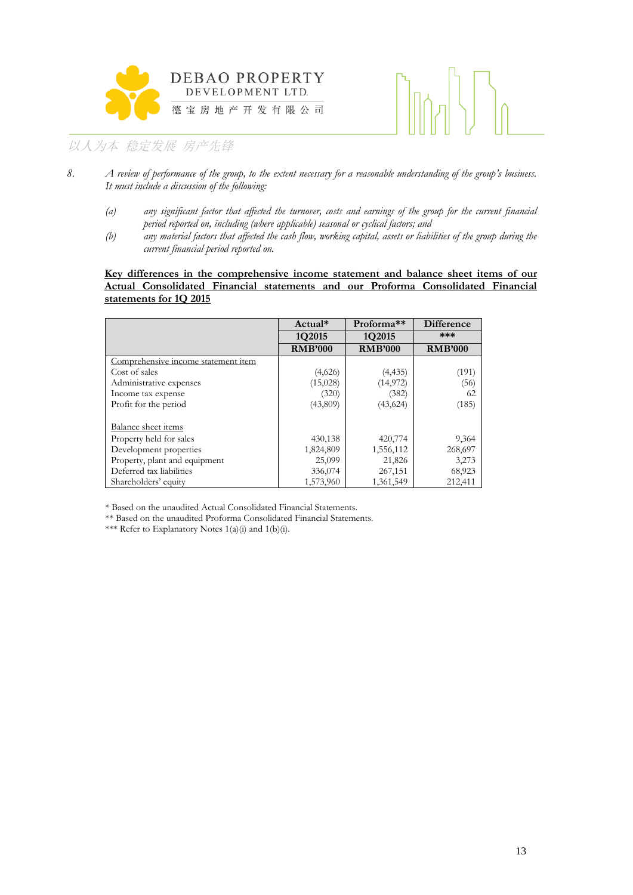



- *8. A review of performance of the group, to the extent necessary for a reasonable understanding of the group's business. It must include a discussion of the following:*
	- *(a) any significant factor that affected the turnover, costs and earnings of the group for the current financial period reported on, including (where applicable) seasonal or cyclical factors; and*
	- *(b) any material factors that affected the cash flow, working capital, assets or liabilities of the group during the current financial period reported on.*

#### **Key differences in the comprehensive income statement and balance sheet items of our Actual Consolidated Financial statements and our Proforma Consolidated Financial statements for 1Q 2015**

|                                     | Actual*        | Proforma <sup>**</sup> | <b>Difference</b> |
|-------------------------------------|----------------|------------------------|-------------------|
|                                     | 1Q2015         | 1Q2015                 | ***               |
|                                     | <b>RMB'000</b> | <b>RMB'000</b>         | <b>RMB'000</b>    |
| Comprehensive income statement item |                |                        |                   |
| Cost of sales                       | (4,626)        | (4, 435)               | (191)             |
| Administrative expenses             | (15,028)       | (14, 972)              | (56)              |
| Income tax expense                  | (320)          | (382)                  | 62                |
| Profit for the period               | (43,809)       | (43, 624)              | (185)             |
| Balance sheet items                 |                |                        |                   |
| Property held for sales             | 430,138        | 420,774                | 9,364             |
| Development properties              | 1,824,809      | 1,556,112              | 268,697           |
| Property, plant and equipment       | 25,099         | 21,826                 | 3,273             |
| Deferred tax liabilities            | 336,074        | 267,151                | 68,923            |
| Shareholders' equity                | 1,573,960      | 1,361,549              | 212,411           |

\* Based on the unaudited Actual Consolidated Financial Statements.

\*\* Based on the unaudited Proforma Consolidated Financial Statements.

\*\*\* Refer to Explanatory Notes  $1(a)(i)$  and  $1(b)(i)$ .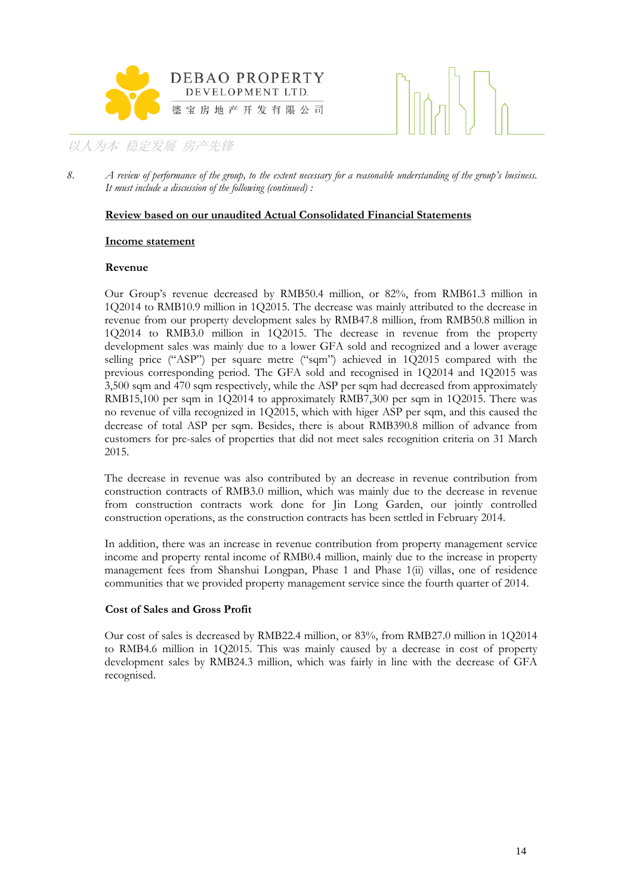



8. *A review of performance of the group, to the extent necessary for a reasonable understanding of the group's business. It must include a discussion of the following (continued) :*

#### **Review based on our unaudited Actual Consolidated Financial Statements**

#### **Income statement**

#### **Revenue**

Our Group's revenue decreased by RMB50.4 million, or 82%, from RMB61.3 million in 1Q2014 to RMB10.9 million in 1Q2015. The decrease was mainly attributed to the decrease in revenue from our property development sales by RMB47.8 million, from RMB50.8 million in 1Q2014 to RMB3.0 million in 1Q2015. The decrease in revenue from the property development sales was mainly due to a lower GFA sold and recognized and a lower average selling price ("ASP") per square metre ("sqm") achieved in 1Q2015 compared with the previous corresponding period. The GFA sold and recognised in 1Q2014 and 1Q2015 was 3,500 sqm and 470 sqm respectively, while the ASP per sqm had decreased from approximately RMB15,100 per sqm in 1Q2014 to approximately RMB7,300 per sqm in 1Q2015. There was no revenue of villa recognized in 1Q2015, which with higer ASP per sqm, and this caused the decrease of total ASP per sqm. Besides, there is about RMB390.8 million of advance from customers for pre-sales of properties that did not meet sales recognition criteria on 31 March 2015.

The decrease in revenue was also contributed by an decrease in revenue contribution from construction contracts of RMB3.0 million, which was mainly due to the decrease in revenue from construction contracts work done for Jin Long Garden, our jointly controlled construction operations, as the construction contracts has been settled in February 2014.

In addition, there was an increase in revenue contribution from property management service income and property rental income of RMB0.4 million, mainly due to the increase in property management fees from Shanshui Longpan, Phase 1 and Phase 1(ii) villas, one of residence communities that we provided property management service since the fourth quarter of 2014.

#### **Cost of Sales and Gross Profit**

Our cost of sales is decreased by RMB22.4 million, or 83%, from RMB27.0 million in 1Q2014 to RMB4.6 million in 1Q2015. This was mainly caused by a decrease in cost of property development sales by RMB24.3 million, which was fairly in line with the decrease of GFA recognised.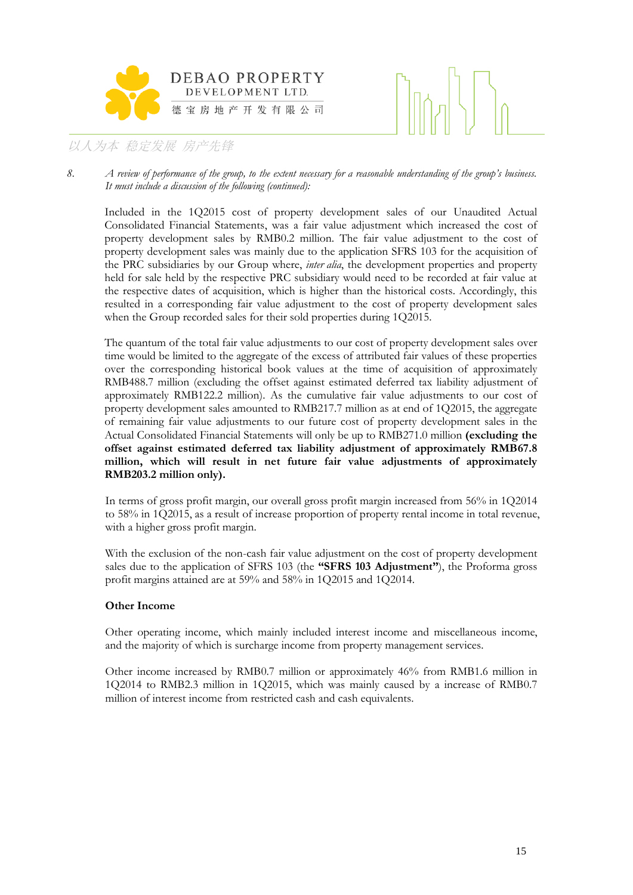



8. *A review of performance of the group, to the extent necessary for a reasonable understanding of the group's business. It must include a discussion of the following (continued):*

Included in the 1Q2015 cost of property development sales of our Unaudited Actual Consolidated Financial Statements, was a fair value adjustment which increased the cost of property development sales by RMB0.2 million. The fair value adjustment to the cost of property development sales was mainly due to the application SFRS 103 for the acquisition of the PRC subsidiaries by our Group where, *inter alia*, the development properties and property held for sale held by the respective PRC subsidiary would need to be recorded at fair value at the respective dates of acquisition, which is higher than the historical costs. Accordingly, this resulted in a corresponding fair value adjustment to the cost of property development sales when the Group recorded sales for their sold properties during 1Q2015.

The quantum of the total fair value adjustments to our cost of property development sales over time would be limited to the aggregate of the excess of attributed fair values of these properties over the corresponding historical book values at the time of acquisition of approximately RMB488.7 million (excluding the offset against estimated deferred tax liability adjustment of approximately RMB122.2 million). As the cumulative fair value adjustments to our cost of property development sales amounted to RMB217.7 million as at end of 1Q2015, the aggregate of remaining fair value adjustments to our future cost of property development sales in the Actual Consolidated Financial Statements will only be up to RMB271.0 million **(excluding the offset against estimated deferred tax liability adjustment of approximately RMB67.8 million, which will result in net future fair value adjustments of approximately RMB203.2 million only).**

In terms of gross profit margin, our overall gross profit margin increased from 56% in 1Q2014 to 58% in 1Q2015, as a result of increase proportion of property rental income in total revenue, with a higher gross profit margin.

With the exclusion of the non-cash fair value adjustment on the cost of property development sales due to the application of SFRS 103 (the **"SFRS 103 Adjustment"**), the Proforma gross profit margins attained are at 59% and 58% in 1Q2015 and 1Q2014.

#### **Other Income**

Other operating income, which mainly included interest income and miscellaneous income, and the majority of which is surcharge income from property management services.

Other income increased by RMB0.7 million or approximately 46% from RMB1.6 million in 1Q2014 to RMB2.3 million in 1Q2015, which was mainly caused by a increase of RMB0.7 million of interest income from restricted cash and cash equivalents.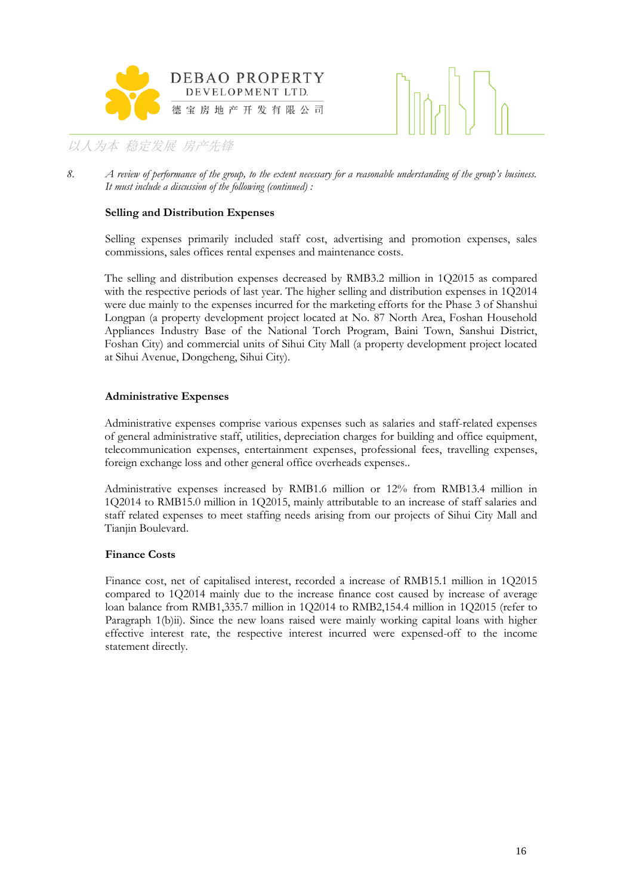



#### **Selling and Distribution Expenses**

Selling expenses primarily included staff cost, advertising and promotion expenses, sales commissions, sales offices rental expenses and maintenance costs.

The selling and distribution expenses decreased by RMB3.2 million in 1Q2015 as compared with the respective periods of last year. The higher selling and distribution expenses in 1Q2014 were due mainly to the expenses incurred for the marketing efforts for the Phase 3 of Shanshui Longpan (a property development project located at No. 87 North Area, Foshan Household Appliances Industry Base of the National Torch Program, Baini Town, Sanshui District, Foshan City) and commercial units of Sihui City Mall (a property development project located at Sihui Avenue, Dongcheng, Sihui City).

#### **Administrative Expenses**

Administrative expenses comprise various expenses such as salaries and staff-related expenses of general administrative staff, utilities, depreciation charges for building and office equipment, telecommunication expenses, entertainment expenses, professional fees, travelling expenses, foreign exchange loss and other general office overheads expenses..

Administrative expenses increased by RMB1.6 million or 12% from RMB13.4 million in 1Q2014 to RMB15.0 million in 1Q2015, mainly attributable to an increase of staff salaries and staff related expenses to meet staffing needs arising from our projects of Sihui City Mall and Tianjin Boulevard.

#### **Finance Costs**

Finance cost, net of capitalised interest, recorded a increase of RMB15.1 million in 1Q2015 compared to 1Q2014 mainly due to the increase finance cost caused by increase of average loan balance from RMB1,335.7 million in 1Q2014 to RMB2,154.4 million in 1Q2015 (refer to Paragraph 1(b)ii). Since the new loans raised were mainly working capital loans with higher effective interest rate, the respective interest incurred were expensed-off to the income statement directly.

<sup>8.</sup> *A review of performance of the group, to the extent necessary for a reasonable understanding of the group's business. It must include a discussion of the following (continued) :*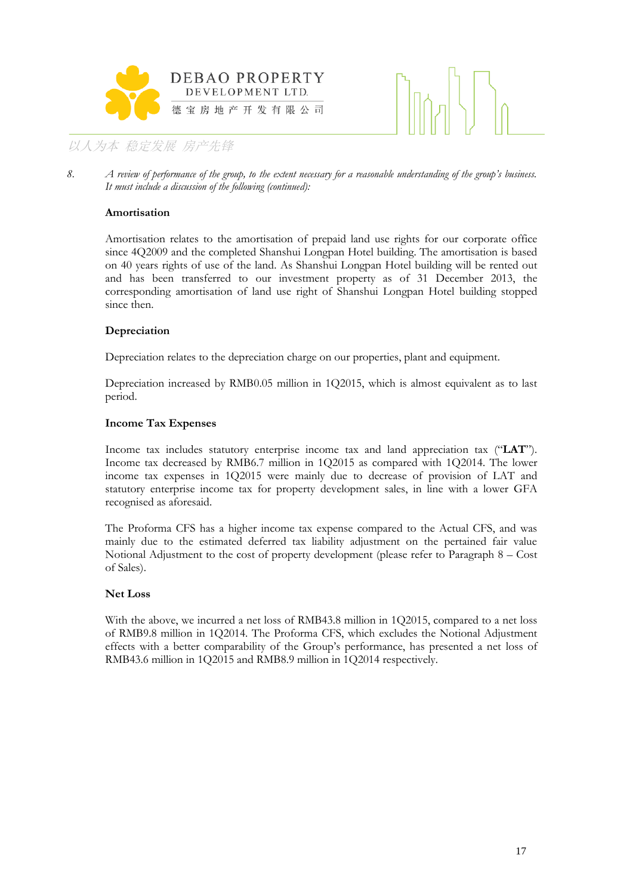



8. *A review of performance of the group, to the extent necessary for a reasonable understanding of the group's business. It must include a discussion of the following (continued):*

#### **Amortisation**

Amortisation relates to the amortisation of prepaid land use rights for our corporate office since 4Q2009 and the completed Shanshui Longpan Hotel building. The amortisation is based on 40 years rights of use of the land. As Shanshui Longpan Hotel building will be rented out and has been transferred to our investment property as of 31 December 2013, the corresponding amortisation of land use right of Shanshui Longpan Hotel building stopped since then.

#### **Depreciation**

Depreciation relates to the depreciation charge on our properties, plant and equipment.

Depreciation increased by RMB0.05 million in 1Q2015, which is almost equivalent as to last period.

#### **Income Tax Expenses**

Income tax includes statutory enterprise income tax and land appreciation tax ("**LAT**"). Income tax decreased by RMB6.7 million in 1Q2015 as compared with 1Q2014. The lower income tax expenses in 1Q2015 were mainly due to decrease of provision of LAT and statutory enterprise income tax for property development sales, in line with a lower GFA recognised as aforesaid.

The Proforma CFS has a higher income tax expense compared to the Actual CFS, and was mainly due to the estimated deferred tax liability adjustment on the pertained fair value Notional Adjustment to the cost of property development (please refer to Paragraph 8 – Cost of Sales).

#### **Net Loss**

With the above, we incurred a net loss of RMB43.8 million in 1Q2015, compared to a net loss of RMB9.8 million in 1Q2014. The Proforma CFS, which excludes the Notional Adjustment effects with a better comparability of the Group's performance, has presented a net loss of RMB43.6 million in 1Q2015 and RMB8.9 million in 1Q2014 respectively.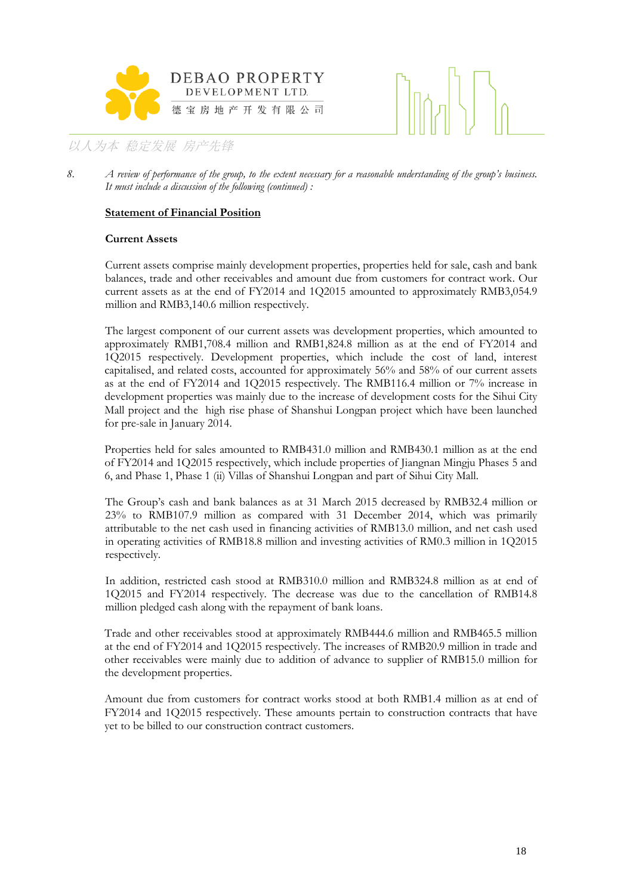



#### **Statement of Financial Position**

#### **Current Assets**

Current assets comprise mainly development properties, properties held for sale, cash and bank balances, trade and other receivables and amount due from customers for contract work. Our current assets as at the end of FY2014 and 1Q2015 amounted to approximately RMB3,054.9 million and RMB3,140.6 million respectively.

The largest component of our current assets was development properties, which amounted to approximately RMB1,708.4 million and RMB1,824.8 million as at the end of FY2014 and 1Q2015 respectively. Development properties, which include the cost of land, interest capitalised, and related costs, accounted for approximately 56% and 58% of our current assets as at the end of FY2014 and 1Q2015 respectively. The RMB116.4 million or 7% increase in development properties was mainly due to the increase of development costs for the Sihui City Mall project and the high rise phase of Shanshui Longpan project which have been launched for pre-sale in January 2014.

Properties held for sales amounted to RMB431.0 million and RMB430.1 million as at the end of FY2014 and 1Q2015 respectively, which include properties of Jiangnan Mingju Phases 5 and 6, and Phase 1, Phase 1 (ii) Villas of Shanshui Longpan and part of Sihui City Mall.

The Group's cash and bank balances as at 31 March 2015 decreased by RMB32.4 million or 23% to RMB107.9 million as compared with 31 December 2014, which was primarily attributable to the net cash used in financing activities of RMB13.0 million, and net cash used in operating activities of RMB18.8 million and investing activities of RM0.3 million in 1Q2015 respectively.

In addition, restricted cash stood at RMB310.0 million and RMB324.8 million as at end of 1Q2015 and FY2014 respectively. The decrease was due to the cancellation of RMB14.8 million pledged cash along with the repayment of bank loans.

Trade and other receivables stood at approximately RMB444.6 million and RMB465.5 million at the end of FY2014 and 1Q2015 respectively. The increases of RMB20.9 million in trade and other receivables were mainly due to addition of advance to supplier of RMB15.0 million for the development properties.

Amount due from customers for contract works stood at both RMB1.4 million as at end of FY2014 and 1Q2015 respectively. These amounts pertain to construction contracts that have yet to be billed to our construction contract customers.

<sup>8.</sup> *A review of performance of the group, to the extent necessary for a reasonable understanding of the group's business. It must include a discussion of the following (continued) :*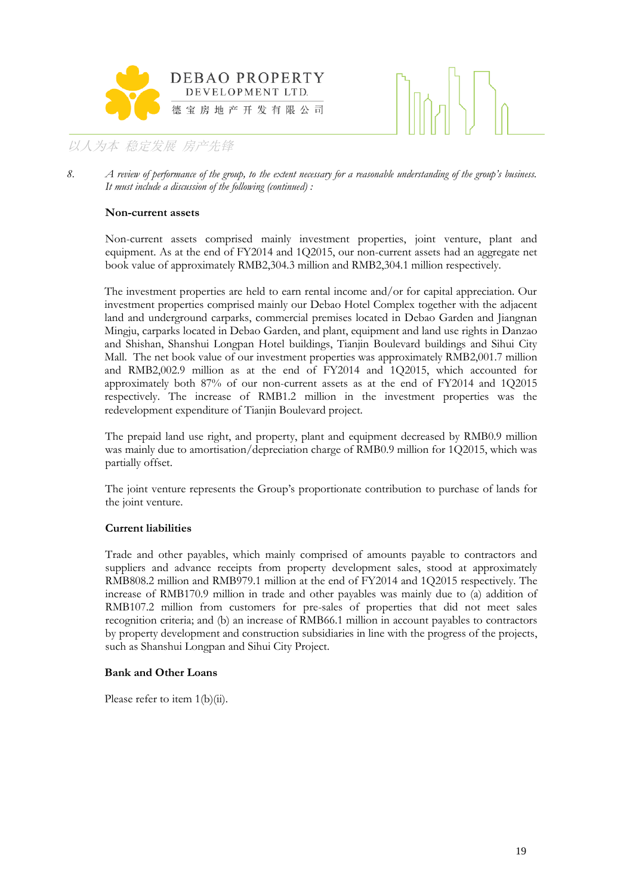



8. *A review of performance of the group, to the extent necessary for a reasonable understanding of the group's business. It must include a discussion of the following (continued) :*

#### **Non-current assets**

Non-current assets comprised mainly investment properties, joint venture, plant and equipment. As at the end of FY2014 and 1Q2015, our non-current assets had an aggregate net book value of approximately RMB2,304.3 million and RMB2,304.1 million respectively.

The investment properties are held to earn rental income and/or for capital appreciation. Our investment properties comprised mainly our Debao Hotel Complex together with the adjacent land and underground carparks, commercial premises located in Debao Garden and Jiangnan Mingju, carparks located in Debao Garden, and plant, equipment and land use rights in Danzao and Shishan, Shanshui Longpan Hotel buildings, Tianjin Boulevard buildings and Sihui City Mall. The net book value of our investment properties was approximately RMB2,001.7 million and RMB2,002.9 million as at the end of FY2014 and 1Q2015, which accounted for approximately both 87% of our non-current assets as at the end of FY2014 and 1Q2015 respectively. The increase of RMB1.2 million in the investment properties was the redevelopment expenditure of Tianjin Boulevard project.

The prepaid land use right, and property, plant and equipment decreased by RMB0.9 million was mainly due to amortisation/depreciation charge of RMB0.9 million for 1Q2015, which was partially offset.

The joint venture represents the Group's proportionate contribution to purchase of lands for the joint venture.

#### **Current liabilities**

Trade and other payables, which mainly comprised of amounts payable to contractors and suppliers and advance receipts from property development sales, stood at approximately RMB808.2 million and RMB979.1 million at the end of FY2014 and 1Q2015 respectively. The increase of RMB170.9 million in trade and other payables was mainly due to (a) addition of RMB107.2 million from customers for pre-sales of properties that did not meet sales recognition criteria; and (b) an increase of RMB66.1 million in account payables to contractors by property development and construction subsidiaries in line with the progress of the projects, such as Shanshui Longpan and Sihui City Project.

#### **Bank and Other Loans**

Please refer to item  $1(b)(ii)$ .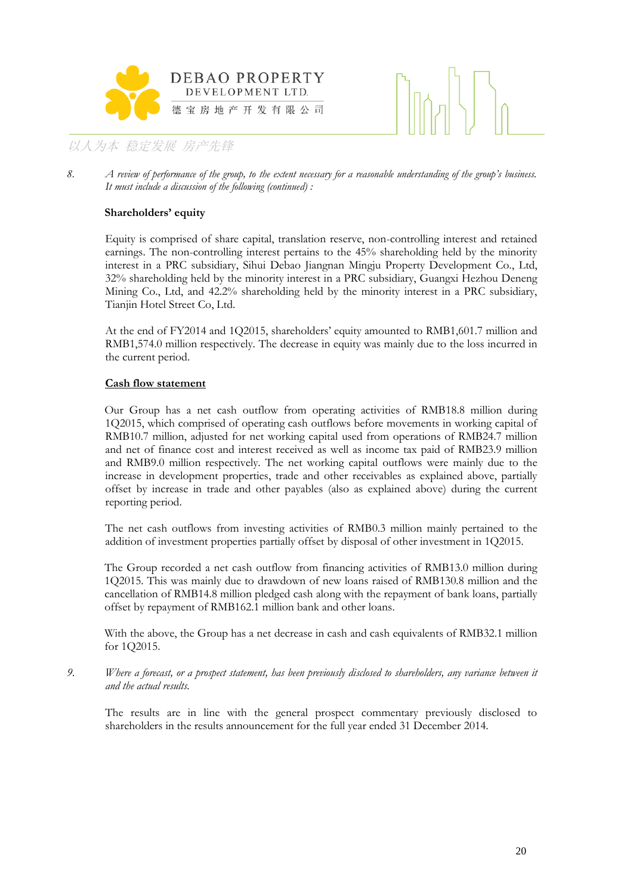



8. *A review of performance of the group, to the extent necessary for a reasonable understanding of the group's business. It must include a discussion of the following (continued) :*

#### **Shareholders' equity**

Equity is comprised of share capital, translation reserve, non-controlling interest and retained earnings. The non-controlling interest pertains to the 45% shareholding held by the minority interest in a PRC subsidiary, Sihui Debao Jiangnan Mingju Property Development Co., Ltd, 32% shareholding held by the minority interest in a PRC subsidiary, Guangxi Hezhou Deneng Mining Co., Ltd, and 42.2% shareholding held by the minority interest in a PRC subsidiary, Tianjin Hotel Street Co, Ltd.

At the end of FY2014 and 1Q2015, shareholders' equity amounted to RMB1,601.7 million and RMB1,574.0 million respectively. The decrease in equity was mainly due to the loss incurred in the current period.

#### **Cash flow statement**

Our Group has a net cash outflow from operating activities of RMB18.8 million during 1Q2015, which comprised of operating cash outflows before movements in working capital of RMB10.7 million, adjusted for net working capital used from operations of RMB24.7 million and net of finance cost and interest received as well as income tax paid of RMB23.9 million and RMB9.0 million respectively. The net working capital outflows were mainly due to the increase in development properties, trade and other receivables as explained above, partially offset by increase in trade and other payables (also as explained above) during the current reporting period.

The net cash outflows from investing activities of RMB0.3 million mainly pertained to the addition of investment properties partially offset by disposal of other investment in 1Q2015.

The Group recorded a net cash outflow from financing activities of RMB13.0 million during 1Q2015. This was mainly due to drawdown of new loans raised of RMB130.8 million and the cancellation of RMB14.8 million pledged cash along with the repayment of bank loans, partially offset by repayment of RMB162.1 million bank and other loans.

With the above, the Group has a net decrease in cash and cash equivalents of RMB32.1 million for 1Q2015.

*9. Where a forecast, or a prospect statement, has been previously disclosed to shareholders, any variance between it and the actual results.*

The results are in line with the general prospect commentary previously disclosed to shareholders in the results announcement for the full year ended 31 December 2014.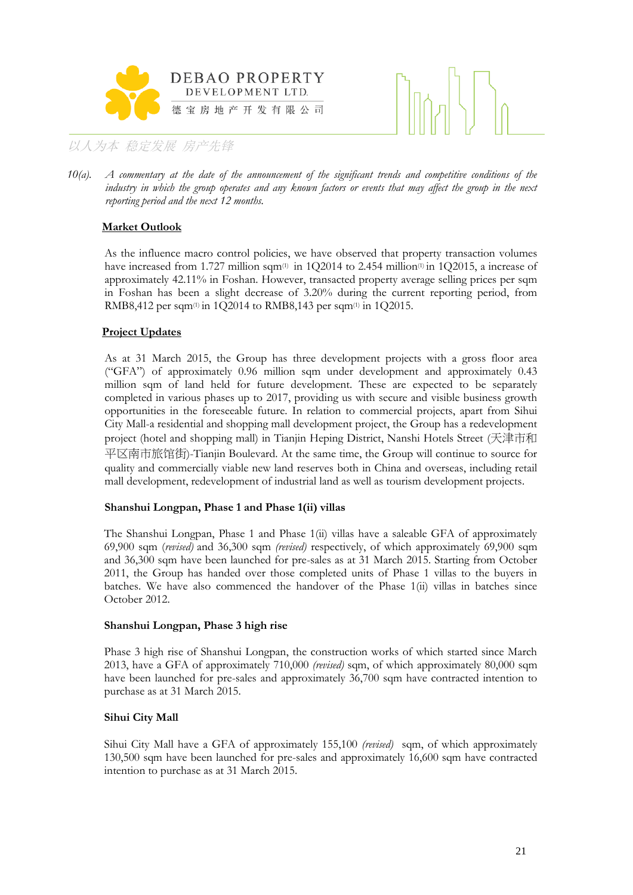



*10(a). A commentary at the date of the announcement of the significant trends and competitive conditions of the industry in which the group operates and any known factors or events that may affect the group in the next reporting period and the next 12 months.*

#### **Market Outlook**

As the influence macro control policies, we have observed that property transaction volumes have increased from 1.727 million sqm $(0)$  in 1Q2014 to 2.454 million $(0)$  in 1Q2015, a increase of approximately 42.11% in Foshan. However, transacted property average selling prices per sqm in Foshan has been a slight decrease of 3.20% during the current reporting period, from RMB8,412 per sqm(1) in 1Q2014 to RMB8,143 per sqm(1) in 1Q2015.

#### **Project Updates**

As at 31 March 2015, the Group has three development projects with a gross floor area ("GFA") of approximately 0.96 million sqm under development and approximately 0.43 million sqm of land held for future development. These are expected to be separately completed in various phases up to 2017, providing us with secure and visible business growth opportunities in the foreseeable future. In relation to commercial projects, apart from Sihui City Mall-a residential and shopping mall development project, the Group has a redevelopment project (hotel and shopping mall) in Tianjin Heping District, Nanshi Hotels Street (天津市和 平区南市旅馆街)-Tianjin Boulevard. At the same time, the Group will continue to source for quality and commercially viable new land reserves both in China and overseas, including retail mall development, redevelopment of industrial land as well as tourism development projects.

#### **Shanshui Longpan, Phase 1 and Phase 1(ii) villas**

The Shanshui Longpan, Phase 1 and Phase 1(ii) villas have a saleable GFA of approximately 69,900 sqm (*revised)* and 36,300 sqm *(revised)* respectively, of which approximately 69,900 sqm and 36,300 sqm have been launched for pre-sales as at 31 March 2015. Starting from October 2011, the Group has handed over those completed units of Phase 1 villas to the buyers in batches. We have also commenced the handover of the Phase 1(ii) villas in batches since October 2012.

#### **Shanshui Longpan, Phase 3 high rise**

Phase 3 high rise of Shanshui Longpan, the construction works of which started since March 2013, have a GFA of approximately 710,000 *(revised)* sqm, of which approximately 80,000 sqm have been launched for pre-sales and approximately 36,700 sqm have contracted intention to purchase as at 31 March 2015.

#### **Sihui City Mall**

Sihui City Mall have a GFA of approximately 155,100 *(revised)* sqm, of which approximately 130,500 sqm have been launched for pre-sales and approximately 16,600 sqm have contracted intention to purchase as at 31 March 2015.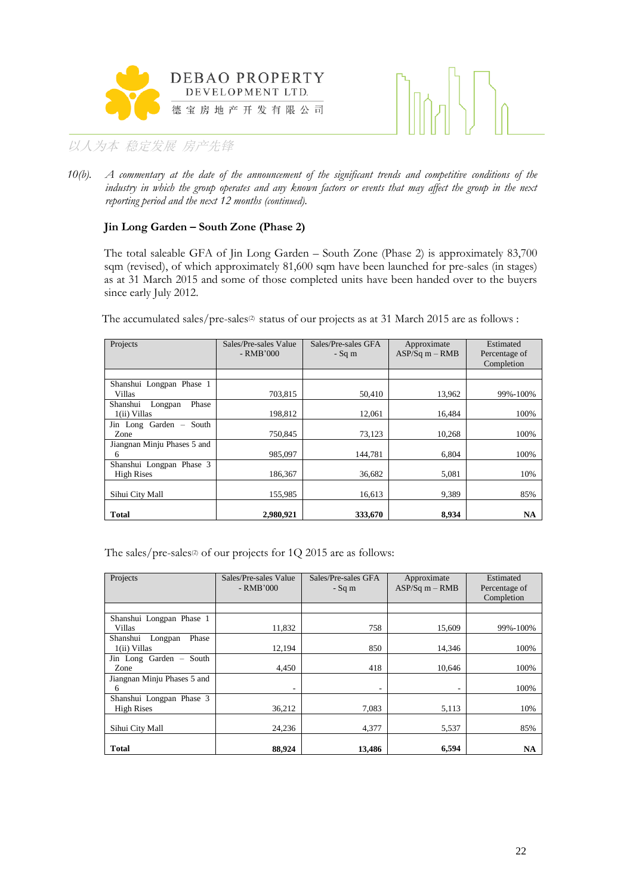



*10(b). A commentary at the date of the announcement of the significant trends and competitive conditions of the*  industry in which the group operates and any known factors or events that may affect the group in the next *reporting period and the next 12 months (continued).*

#### **Jin Long Garden – South Zone (Phase 2)**

The total saleable GFA of Jin Long Garden – South Zone (Phase 2) is approximately 83,700 sqm (revised), of which approximately 81,600 sqm have been launched for pre-sales (in stages) as at 31 March 2015 and some of those completed units have been handed over to the buyers since early July 2012.

The accumulated sales/pre-sales<sup>(2)</sup> status of our projects as at 31 March 2015 are as follows :

| Projects                                       | Sales/Pre-sales Value<br>$-RMB'000$ | Sales/Pre-sales GFA<br>$-Sq$ m | Approximate<br>$ASP/Sq m - RMB$ | Estimated<br>Percentage of<br>Completion |
|------------------------------------------------|-------------------------------------|--------------------------------|---------------------------------|------------------------------------------|
|                                                |                                     |                                |                                 |                                          |
| Shanshui Longpan Phase 1<br>Villas             | 703,815                             | 50,410                         | 13,962                          | 99%-100%                                 |
| Shanshui<br>Phase<br>Longpan<br>$1(ii)$ Villas | 198.812                             | 12,061                         | 16.484                          | 100%                                     |
| Jin Long Garden - South<br>Zone                | 750.845                             | 73,123                         | 10.268                          | 100%                                     |
| Jiangnan Minju Phases 5 and<br>6               | 985.097                             | 144,781                        | 6,804                           | 100%                                     |
| Shanshui Longpan Phase 3<br><b>High Rises</b>  | 186.367                             | 36,682                         | 5,081                           | 10%                                      |
| Sihui City Mall                                | 155,985                             | 16,613                         | 9,389                           | 85%                                      |
| <b>Total</b>                                   | 2.980.921                           | 333.670                        | 8.934                           | <b>NA</b>                                |

The sales/pre-sales<sup>(2)</sup> of our projects for 1Q 2015 are as follows:

| Projects                                      | Sales/Pre-sales Value<br>$-RMB'000$ | Sales/Pre-sales GFA<br>$-Sq$ m | Approximate<br>$ASP/Sq m - RMB$ | Estimated<br>Percentage of<br>Completion |
|-----------------------------------------------|-------------------------------------|--------------------------------|---------------------------------|------------------------------------------|
|                                               |                                     |                                |                                 |                                          |
| Shanshui Longpan Phase 1<br>Villas            | 11,832                              | 758                            | 15,609                          | 99%-100%                                 |
| Phase<br>Shanshui<br>Longpan<br>1(ii) Villas  | 12.194                              | 850                            | 14.346                          | 100%                                     |
| Jin Long Garden - South<br>Zone               | 4,450                               | 418                            | 10,646                          | 100%                                     |
| Jiangnan Minju Phases 5 and<br>6              | $\overline{\phantom{a}}$            | ۰                              | ٠                               | 100%                                     |
| Shanshui Longpan Phase 3<br><b>High Rises</b> | 36,212                              | 7,083                          | 5,113                           | 10%                                      |
| Sihui City Mall                               | 24,236                              | 4,377                          | 5,537                           | 85%                                      |
| <b>Total</b>                                  | 88,924                              | 13.486                         | 6,594                           | <b>NA</b>                                |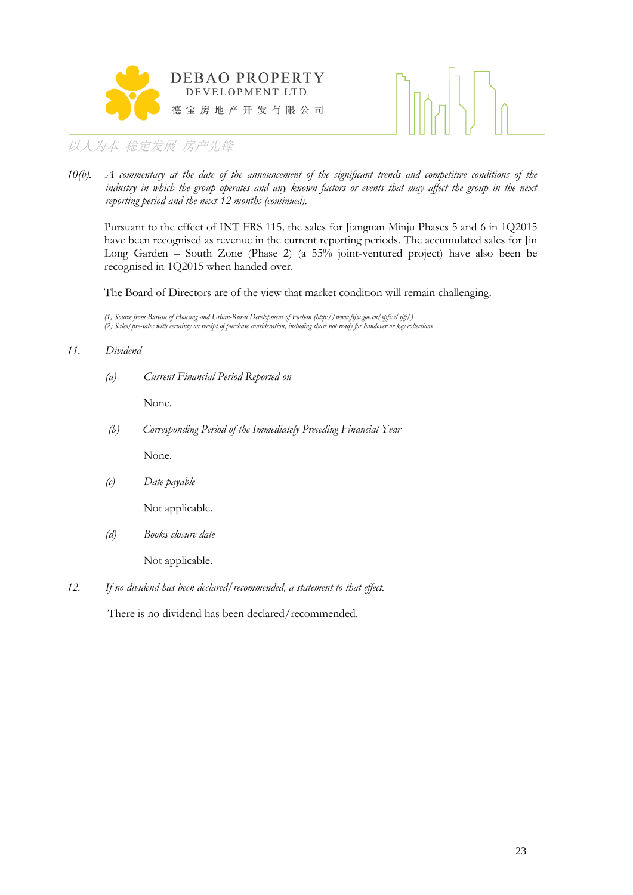



*10(b). A commentary at the date of the announcement of the significant trends and competitive conditions of the industry in which the group operates and any known factors or events that may affect the group in the next reporting period and the next 12 months (continued).*

Pursuant to the effect of INT FRS 115*,* the sales for Jiangnan Minju Phases 5 and 6 in 1Q2015 have been recognised as revenue in the current reporting periods. The accumulated sales for Jin Long Garden – South Zone (Phase 2) (a 55% joint-ventured project) have also been be recognised in 1Q2015 when handed over.

The Board of Directors are of the view that market condition will remain challenging.

*(1) Source from Bureau of Housing and Urban-Rural Development of Foshan (http://www.fsjw.gov.cn/spfxs/sjtj/) (2) Sales/pre-sales with certainty on receipt of purchase consideration, including those not ready for handover or key collections*

#### *11. Dividend*

*(a) Current Financial Period Reported on*

None.

*(b) Corresponding Period of the Immediately Preceding Financial Year*

None.

*(c) Date payable*

Not applicable.

*(d) Books closure date*

Not applicable.

*12. If no dividend has been declared/recommended, a statement to that effect.*

There is no dividend has been declared/recommended.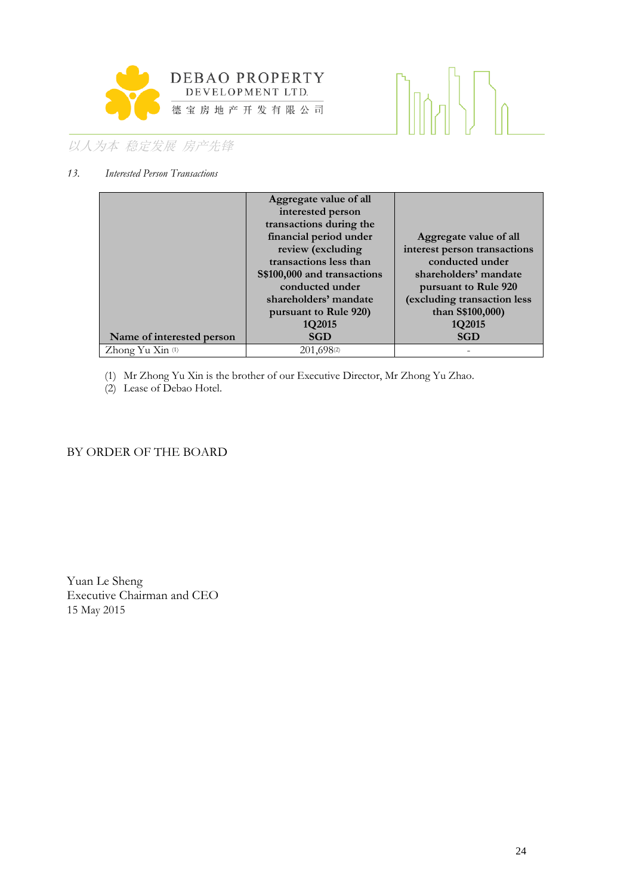

# 

# 以人为本 稳定发展 房产先锋

#### *13. Interested Person Transactions*

|                             | Aggregate value of all      |                              |
|-----------------------------|-----------------------------|------------------------------|
|                             | interested person           |                              |
|                             | transactions during the     |                              |
|                             | financial period under      | Aggregate value of all       |
|                             | review (excluding           | interest person transactions |
|                             | transactions less than      | conducted under              |
|                             | S\$100,000 and transactions | shareholders' mandate        |
|                             | conducted under             | pursuant to Rule 920         |
|                             | shareholders' mandate       | (excluding transaction less  |
|                             | pursuant to Rule 920)       | than S\$100,000)             |
|                             | 1Q2015                      | 1Q2015                       |
| Name of interested person   | <b>SGD</b>                  | <b>SGD</b>                   |
| Zhong Yu Xin <sup>(1)</sup> | 201,698(2)                  |                              |

(1) Mr Zhong Yu Xin is the brother of our Executive Director, Mr Zhong Yu Zhao.

(2) Lease of Debao Hotel.

#### BY ORDER OF THE BOARD

Yuan Le Sheng Executive Chairman and CEO 15 May 2015